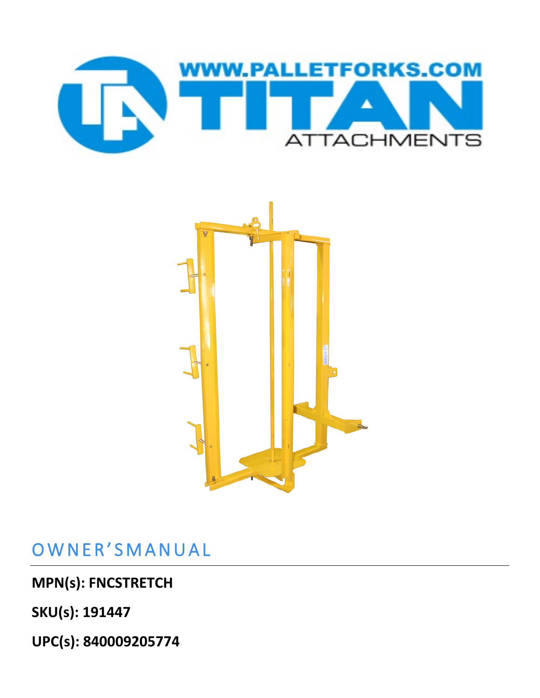



## OWNER'SMANUAL

**MPN(s): FNCSTRETCH**

**SKU(s): 191447**

**UPC(s): 840009205774**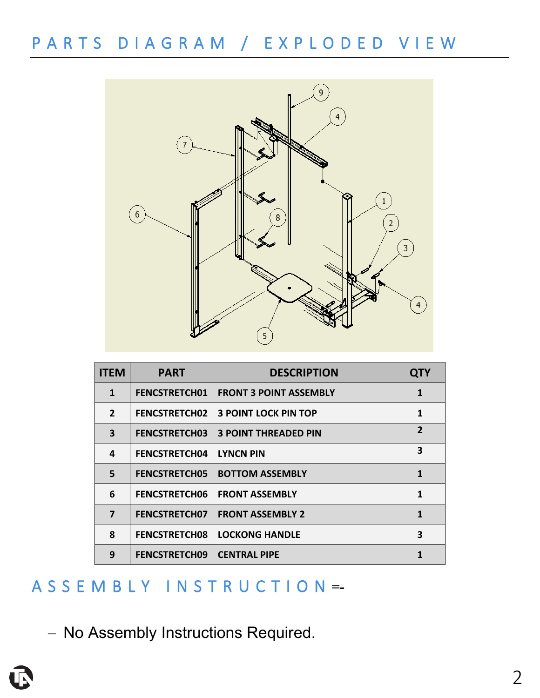PARTS DIAGRAM / EXPLODED VIEW



| <b>ITEM</b>    | <b>PART</b>          | <b>DESCRIPTION</b>            | <b>QTY</b>     |
|----------------|----------------------|-------------------------------|----------------|
| $\mathbf 1$    | <b>FENCSTRETCH01</b> | <b>FRONT 3 POINT ASSEMBLY</b> | 1              |
| $\overline{2}$ | <b>FENCSTRETCH02</b> | <b>3 POINT LOCK PIN TOP</b>   | 1              |
| 3              | <b>FENCSTRETCH03</b> | <b>3 POINT THREADED PIN</b>   | $\overline{2}$ |
| 4              | <b>FENCSTRETCH04</b> | <b>LYNCN PIN</b>              | 3              |
| 5              | <b>FENCSTRETCH05</b> | <b>BOTTOM ASSEMBLY</b>        | 1              |
| 6              | <b>FENCSTRETCH06</b> | <b>FRONT ASSEMBLY</b>         | 1              |
| 7              | <b>FENCSTRETCH07</b> | <b>FRONT ASSEMBLY 2</b>       | 1              |
| 8              | <b>FENCSTRETCH08</b> | <b>LOCKONG HANDLE</b>         | 3              |
| 9              | <b>FENCSTRETCH09</b> | <b>CENTRAL PIPE</b>           |                |

## ASSEMBLY INSTRUCTIO N **=-**

− No Assembly Instructions Required.